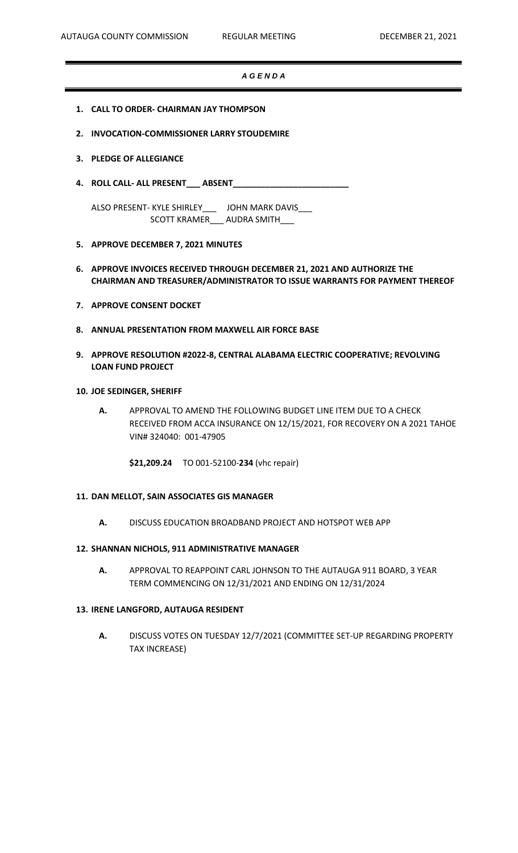### *A G E N D A*

- **1. CALL TO ORDER- CHAIRMAN JAY THOMPSON**
- **2. INVOCATION-COMMISSIONER LARRY STOUDEMIRE**
- **3. PLEDGE OF ALLEGIANCE**
- **4. ROLL CALL- ALL PRESENT\_\_\_ ABSENT\_\_\_\_\_\_\_\_\_\_\_\_\_\_\_\_\_\_\_\_\_\_\_\_\_**

ALSO PRESENT- KYLE SHIRLEY\_\_\_ JOHN MARK DAVIS\_\_\_ SCOTT KRAMER\_\_\_\_ AUDRA SMITH

### **5. APPROVE DECEMBER 7, 2021 MINUTES**

- **6. APPROVE INVOICES RECEIVED THROUGH DECEMBER 21, 2021 AND AUTHORIZE THE CHAIRMAN AND TREASURER/ADMINISTRATOR TO ISSUE WARRANTS FOR PAYMENT THEREOF**
- **7. APPROVE CONSENT DOCKET**
- **8. ANNUAL PRESENTATION FROM MAXWELL AIR FORCE BASE**
- **9. APPROVE RESOLUTION #2022-8, CENTRAL ALABAMA ELECTRIC COOPERATIVE; REVOLVING LOAN FUND PROJECT**

#### **10. JOE SEDINGER, SHERIFF**

**A.** APPROVAL TO AMEND THE FOLLOWING BUDGET LINE ITEM DUE TO A CHECK RECEIVED FROM ACCA INSURANCE ON 12/15/2021, FOR RECOVERY ON A 2021 TAHOE VIN# 324040: 001-47905

**\$21,209.24** TO 001-52100-**234** (vhc repair)

#### **11. DAN MELLOT, SAIN ASSOCIATES GIS MANAGER**

**A.** DISCUSS EDUCATION BROADBAND PROJECT AND HOTSPOT WEB APP

#### **12. SHANNAN NICHOLS, 911 ADMINISTRATIVE MANAGER**

**A.** APPROVAL TO REAPPOINT CARL JOHNSON TO THE AUTAUGA 911 BOARD, 3 YEAR TERM COMMENCING ON 12/31/2021 AND ENDING ON 12/31/2024

# **13. IRENE LANGFORD, AUTAUGA RESIDENT**

**A.** DISCUSS VOTES ON TUESDAY 12/7/2021 (COMMITTEE SET-UP REGARDING PROPERTY TAX INCREASE)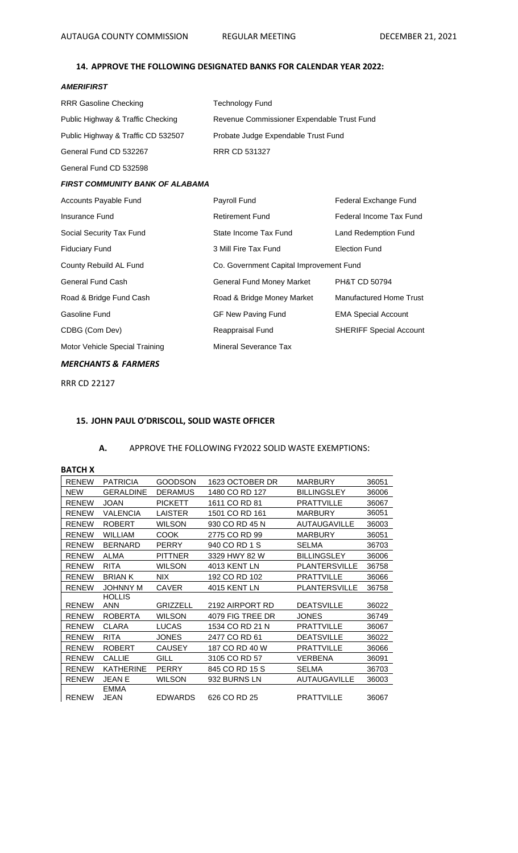# **14. APPROVE THE FOLLOWING DESIGNATED BANKS FOR CALENDAR YEAR 2022:**

# *AMERIFIRST*

| RRR Gasoline Checking              | <b>Technology Fund</b>                     |                                |  |
|------------------------------------|--------------------------------------------|--------------------------------|--|
| Public Highway & Traffic Checking  | Revenue Commissioner Expendable Trust Fund |                                |  |
| Public Highway & Traffic CD 532507 | Probate Judge Expendable Trust Fund        |                                |  |
| General Fund CD 532267             | <b>RRR CD 531327</b>                       |                                |  |
| General Fund CD 532598             |                                            |                                |  |
| FIRST COMMUNITY BANK OF ALABAMA    |                                            |                                |  |
| Accounts Payable Fund              | Payroll Fund                               | Federal Exchange Fund          |  |
| <b>Insurance Fund</b>              | <b>Retirement Fund</b>                     | Federal Income Tax Fund        |  |
| Social Security Tax Fund           | State Income Tax Fund                      | Land Redemption Fund           |  |
| Fiduciary Fund                     | 3 Mill Fire Tax Fund                       | <b>Election Fund</b>           |  |
| County Rebuild AL Fund             | Co. Government Capital Improvement Fund    |                                |  |
| General Fund Cash                  | <b>General Fund Money Market</b>           | PH&T CD 50794                  |  |
| Road & Bridge Fund Cash            | Road & Bridge Money Market                 | Manufactured Home Trust        |  |
| Gasoline Fund                      | <b>GF New Paving Fund</b>                  | <b>EMA Special Account</b>     |  |
| CDBG (Com Dev)                     | Reappraisal Fund                           | <b>SHERIFF Special Account</b> |  |
| Motor Vehicle Special Training     | Mineral Severance Tax                      |                                |  |
|                                    |                                            |                                |  |

# *MERCHANTS & FARMERS*

RRR CD 22127

# **15. JOHN PAUL O'DRISCOLL, SOLID WASTE OFFICER**

# **A.** APPROVE THE FOLLOWING FY2022 SOLID WASTE EXEMPTIONS:

## **BATCH X**

| <b>RENEW</b> | <b>PATRICIA</b>     | GOODSON         | 1623 OCTOBER DR  | <b>MARBURY</b>       | 36051 |
|--------------|---------------------|-----------------|------------------|----------------------|-------|
| <b>NEW</b>   | GERALDINE           | <b>DERAMUS</b>  | 1480 CO RD 127   | <b>BILLINGSLEY</b>   | 36006 |
| <b>RENEW</b> | <b>JOAN</b>         | <b>PICKETT</b>  | 1611 CO RD 81    | <b>PRATTVILLE</b>    | 36067 |
| <b>RENEW</b> | VALENCIA            | LAISTER         | 1501 CO RD 161   | <b>MARBURY</b>       | 36051 |
| <b>RENEW</b> | <b>ROBERT</b>       | <b>WILSON</b>   | 930 CO RD 45 N   | <b>AUTAUGAVILLE</b>  | 36003 |
| <b>RENEW</b> | <b>WILLIAM</b>      | <b>COOK</b>     | 2775 CO RD 99    | <b>MARBURY</b>       | 36051 |
| <b>RENEW</b> | <b>BERNARD</b>      | <b>PERRY</b>    | 940 CO RD 1 S    | <b>SELMA</b>         | 36703 |
| <b>RENEW</b> | <b>ALMA</b>         | <b>PITTNER</b>  | 3329 HWY 82 W    | <b>BILLINGSLEY</b>   | 36006 |
| <b>RENEW</b> | <b>RITA</b>         | <b>WILSON</b>   | 4013 KENT LN     | <b>PLANTERSVILLE</b> | 36758 |
| <b>RENEW</b> | <b>BRIAN K</b>      | <b>NIX</b>      | 192 CO RD 102    | <b>PRATTVILLE</b>    | 36066 |
| <b>RENEW</b> | <b>JOHNNY M</b>     | <b>CAVER</b>    | 4015 KENT LN     | <b>PLANTERSVILLE</b> | 36758 |
|              | <b>HOLLIS</b>       |                 |                  |                      |       |
| <b>RENEW</b> | <b>ANN</b>          | <b>GRIZZELL</b> | 2192 AIRPORT RD  | <b>DEATSVILLE</b>    | 36022 |
| <b>RENEW</b> | <b>ROBERTA</b>      | <b>WILSON</b>   | 4079 FIG TREE DR | <b>JONES</b>         | 36749 |
| <b>RENEW</b> | <b>CLARA</b>        | <b>LUCAS</b>    | 1534 CO RD 21 N  | <b>PRATTVILLE</b>    | 36067 |
| <b>RENEW</b> | <b>RITA</b>         | <b>JONES</b>    | 2477 CO RD 61    | <b>DEATSVILLE</b>    | 36022 |
| <b>RENEW</b> | <b>ROBERT</b>       | CAUSEY          | 187 CO RD 40 W   | <b>PRATTVILLE</b>    | 36066 |
| <b>RENEW</b> | <b>CALLIE</b>       | GILL            | 3105 CO RD 57    | <b>VERBENA</b>       | 36091 |
| <b>RENEW</b> | <b>KATHERINE</b>    | PERRY           | 845 CO RD 15 S   | <b>SELMA</b>         | 36703 |
| <b>RENEW</b> | <b>JEAN E</b>       | <b>WILSON</b>   | 932 BURNS LN     | <b>AUTAUGAVILLE</b>  | 36003 |
| <b>RENEW</b> | <b>EMMA</b><br>JEAN | EDWARDS         | 626 CO RD 25     | <b>PRATTVILLE</b>    | 36067 |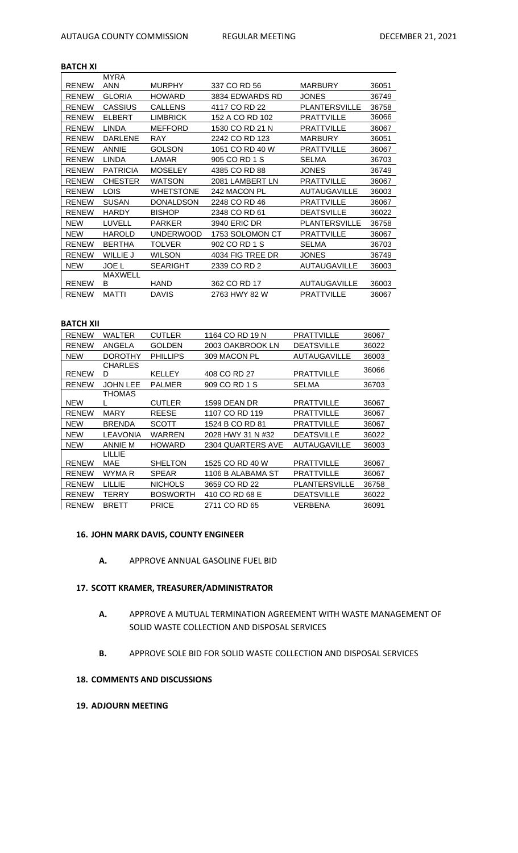# **BATCH XI**

|              | <b>MYRA</b>     |                  |                  |                      |       |
|--------------|-----------------|------------------|------------------|----------------------|-------|
| <b>RENEW</b> | <b>ANN</b>      | <b>MURPHY</b>    | 337 CO RD 56     | <b>MARBURY</b>       | 36051 |
| <b>RENEW</b> | <b>GLORIA</b>   | <b>HOWARD</b>    | 3834 EDWARDS RD  | <b>JONES</b>         | 36749 |
| <b>RENEW</b> | <b>CASSIUS</b>  | <b>CALLENS</b>   | 4117 CO RD 22    | <b>PLANTERSVILLE</b> | 36758 |
| <b>RENEW</b> | <b>ELBERT</b>   | <b>LIMBRICK</b>  | 152 A CO RD 102  | <b>PRATTVILLE</b>    | 36066 |
| <b>RENEW</b> | <b>LINDA</b>    | <b>MEFFORD</b>   | 1530 CO RD 21 N  | <b>PRATTVILLE</b>    | 36067 |
| <b>RENEW</b> | <b>DARLENE</b>  | <b>RAY</b>       | 2242 CO RD 123   | <b>MARBURY</b>       | 36051 |
| <b>RENEW</b> | <b>ANNIE</b>    | <b>GOLSON</b>    | 1051 CO RD 40 W  | <b>PRATTVILLE</b>    | 36067 |
| <b>RENEW</b> | <b>LINDA</b>    | LAMAR            | 905 CO RD 1 S    | SELMA                | 36703 |
| <b>RENEW</b> | <b>PATRICIA</b> | <b>MOSELEY</b>   | 4385 CO RD 88    | <b>JONES</b>         | 36749 |
| <b>RENEW</b> | <b>CHESTER</b>  | <b>WATSON</b>    | 2081 LAMBERT LN  | <b>PRATTVILLE</b>    | 36067 |
| <b>RENEW</b> | <b>LOIS</b>     | <b>WHETSTONE</b> | 242 MACON PL     | <b>AUTAUGAVILLE</b>  | 36003 |
| <b>RENEW</b> | <b>SUSAN</b>    | <b>DONALDSON</b> | 2248 CO RD 46    | <b>PRATTVILLE</b>    | 36067 |
| <b>RENEW</b> | <b>HARDY</b>    | <b>BISHOP</b>    | 2348 CO RD 61    | <b>DEATSVILLE</b>    | 36022 |
| <b>NEW</b>   | LUVELL          | <b>PARKER</b>    | 3940 ERIC DR     | PLANTERSVILLE        | 36758 |
| <b>NEW</b>   | <b>HAROLD</b>   | <b>UNDERWOOD</b> | 1753 SOLOMON CT  | PRATTVILLE           | 36067 |
| <b>RENEW</b> | <b>BERTHA</b>   | TOLVER           | 902 CO RD 1 S    | SELMA                | 36703 |
| <b>RENEW</b> | <b>WILLIE J</b> | <b>WILSON</b>    | 4034 FIG TREE DR | <b>JONES</b>         | 36749 |
| <b>NEW</b>   | <b>JOE L</b>    | <b>SEARIGHT</b>  | 2339 CO RD 2     | AUTAUGAVILLE         | 36003 |
|              | <b>MAXWELL</b>  |                  |                  |                      |       |
| <b>RENEW</b> | B               | <b>HAND</b>      | 362 CO RD 17     | <b>AUTAUGAVILLE</b>  | 36003 |
| <b>RENEW</b> | <b>MATTI</b>    | <b>DAVIS</b>     | 2763 HWY 82 W    | <b>PRATTVILLE</b>    | 36067 |

#### **BATCH XII**

| <b>RENEW</b> | WALTER          | <b>CUTLER</b>   | 1164 CO RD 19 N   | <b>PRATTVILLE</b>    | 36067 |
|--------------|-----------------|-----------------|-------------------|----------------------|-------|
| <b>RENEW</b> | ANGELA          | <b>GOLDEN</b>   | 2003 OAKBROOK LN  | <b>DEATSVILLE</b>    | 36022 |
| <b>NEW</b>   | <b>DOROTHY</b>  | <b>PHILLIPS</b> | 309 MACON PL      | <b>AUTAUGAVILLE</b>  | 36003 |
|              | <b>CHARLES</b>  |                 |                   |                      | 36066 |
| <b>RENEW</b> | D               | KELLEY          | 408 CO RD 27      | <b>PRATTVILLE</b>    |       |
| <b>RENEW</b> | <b>JOHN LEE</b> | <b>PALMER</b>   | 909 CO RD 1 S     | SELMA                | 36703 |
|              | <b>THOMAS</b>   |                 |                   |                      |       |
| <b>NEW</b>   |                 | <b>CUTLER</b>   | 1599 DEAN DR      | <b>PRATTVILLE</b>    | 36067 |
| <b>RENEW</b> | MARY            | REESE           | 1107 CO RD 119    | <b>PRATTVILLE</b>    | 36067 |
| <b>NEW</b>   | <b>BRENDA</b>   | SCOTT           | 1524 B CO RD 81   | <b>PRATTVILLE</b>    | 36067 |
| <b>NEW</b>   | <b>LEAVONIA</b> | WARREN          | 2028 HWY 31 N #32 | <b>DEATSVILLE</b>    | 36022 |
| <b>NEW</b>   | <b>ANNIE M</b>  | <b>HOWARD</b>   | 2304 QUARTERS AVE | <b>AUTAUGAVILLE</b>  | 36003 |
|              | LILLIE          |                 |                   |                      |       |
| <b>RENEW</b> | MAE             | SHELTON         | 1525 CO RD 40 W   | <b>PRATTVILLE</b>    | 36067 |
| <b>RENEW</b> | WYMA R          | <b>SPEAR</b>    | 1106 B ALABAMA ST | <b>PRATTVILLE</b>    | 36067 |
| <b>RENEW</b> | LILLIE          | <b>NICHOLS</b>  | 3659 CO RD 22     | <b>PLANTERSVILLE</b> | 36758 |
| <b>RENEW</b> | TERRY           | <b>BOSWORTH</b> | 410 CO RD 68 E    | <b>DEATSVILLE</b>    | 36022 |
| <b>RENEW</b> | <b>BRETT</b>    | <b>PRICE</b>    | 2711 CO RD 65     | VERBENA              | 36091 |

#### **16. JOHN MARK DAVIS, COUNTY ENGINEER**

**A.** APPROVE ANNUAL GASOLINE FUEL BID

# **17. SCOTT KRAMER, TREASURER/ADMINISTRATOR**

- **A.** APPROVE A MUTUAL TERMINATION AGREEMENT WITH WASTE MANAGEMENT OF SOLID WASTE COLLECTION AND DISPOSAL SERVICES
- **B.** APPROVE SOLE BID FOR SOLID WASTE COLLECTION AND DISPOSAL SERVICES

# **18. COMMENTS AND DISCUSSIONS**

# **19. ADJOURN MEETING**